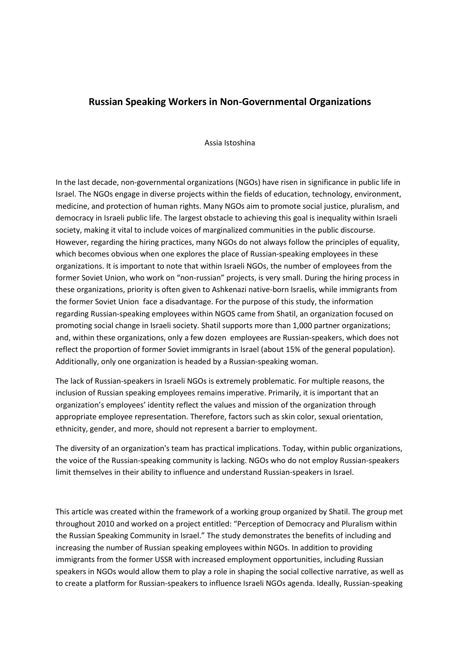# **Russian Speaking Workers in Non-Governmental Organizations**

#### Assia Istoshina

In the last decade, non-governmental organizations (NGOs) have risen in significance in public life in Israel. The NGOs engage in diverse projects within the fields of education, technology, environment, medicine, and protection of human rights. Many NGOs aim to promote social justice, pluralism, and democracy in Israeli public life. The largest obstacle to achieving this goal is inequality within Israeli society, making it vital to include voices of marginalized communities in the public discourse. However, regarding the hiring practices, many NGOs do not always follow the principles of equality, which becomes obvious when one explores the place of Russian-speaking employees in these organizations. It is important to note that within Israeli NGOs, the number of employees from the former Soviet Union, who work on "non-russian" projects, is very small. During the hiring process in these organizations, priority is often given to Ashkenazi native-born Israelis, while immigrants from the former Soviet Union face a disadvantage. For the purpose of this study, the information regarding Russian-speaking employees within NGOS came from Shatil, an organization focused on promoting social change in Israeli society. Shatil supports more than 1,000 partner organizations; and, within these organizations, only a few dozen employees are Russian-speakers, which does not reflect the proportion of former Soviet immigrants in Israel (about 15% of the general population). Additionally, only one organization is headed by a Russian-speaking woman.

The lack of Russian-speakers in Israeli NGOs is extremely problematic. For multiple reasons, the inclusion of Russian speaking employees remains imperative. Primarily, it is important that an organization's employees' identity reflect the values and mission of the organization through appropriate employee representation. Therefore, factors such as skin color, sexual orientation, ethnicity, gender, and more, should not represent a barrier to employment.

The diversity of an organization's team has practical implications. Today, within public organizations, the voice of the Russian-speaking community is lacking. NGOs who do not employ Russian-speakers limit themselves in their ability to influence and understand Russian-speakers in Israel.

This article was created within the framework of a working group organized by Shatil. The group met throughout 2010 and worked on a project entitled: "Perception of Democracy and Pluralism within the Russian Speaking Community in Israel." The study demonstrates the benefits of including and increasing the number of Russian speaking employees within NGOs. In addition to providing immigrants from the former USSR with increased employment opportunities, including Russian speakers in NGOs would allow them to play a role in shaping the social collective narrative, as well as to create a platform for Russian-speakers to influence Israeli NGOs agenda. Ideally, Russian-speaking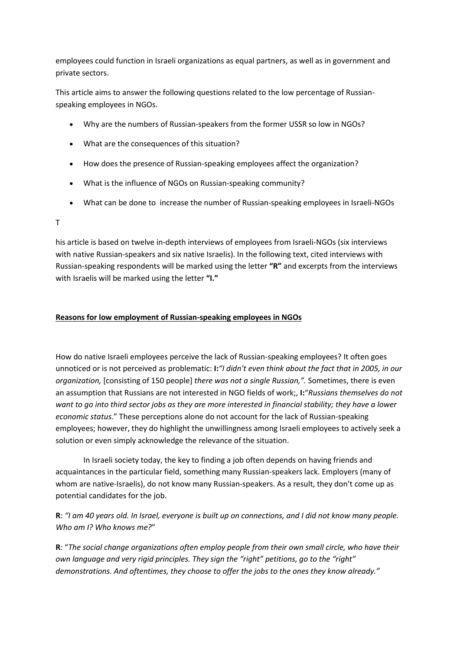employees could function in Israeli organizations as equal partners, as well as in government and private sectors.

This article aims to answer the following questions related to the low percentage of Russianspeaking employees in NGOs.

- Why are the numbers of Russian-speakers from the former USSR so low in NGOs?
- What are the consequences of this situation?
- How does the presence of Russian-speaking employees affect the organization?
- What is the influence of NGOs on Russian-speaking community?
- What can be done to increase the number of Russian-speaking employees in Israeli-NGOs

T

his article is based on twelve in-depth interviews of employees from Israeli-NGOs (six interviews with native Russian-speakers and six native Israelis). In the following text, cited interviews with Russian-speaking respondents will be marked using the letter **"R"** and excerpts from the interviews with Israelis will be marked using the letter **"I."** 

## **Reasons for low employment of Russian-speaking employees in NGOs**

How do native Israeli employees perceive the lack of Russian-speaking employees? It often goes unnoticed or is not perceived as problematic: **I:***"I didn't even think about the fact that in 2005, in our organization,* [consisting of 150 people] *there was not a single Russian,".* Sometimes, there is even an assumption that Russians are not interested in NGO fields of work;, **I:**"*Russians themselves do not want to go into third sector jobs as they are more interested in financial stability; they have a lower economic status.*" These perceptions alone do not account for the lack of Russian-speaking employees; however, they do highlight the unwillingness among Israeli employees to actively seek a solution or even simply acknowledge the relevance of the situation.

In Israeli society today, the key to finding a job often depends on having friends and acquaintances in the particular field, something many Russian-speakers lack. Employers (many of whom are native-Israelis), do not know many Russian-speakers. As a result, they don't come up as potential candidates for the job.

**R**: *"I am 40 years old. In Israel, everyone is built up on connections, and I did not know many people. Who am I? Who knows me?*"

**R**: "*The social change organizations often employ people from their own small circle, who have their own language and very rigid principles. They sign the "right" petitions, go to the "right" demonstrations. And oftentimes, they choose to offer the jobs to the ones they know already."*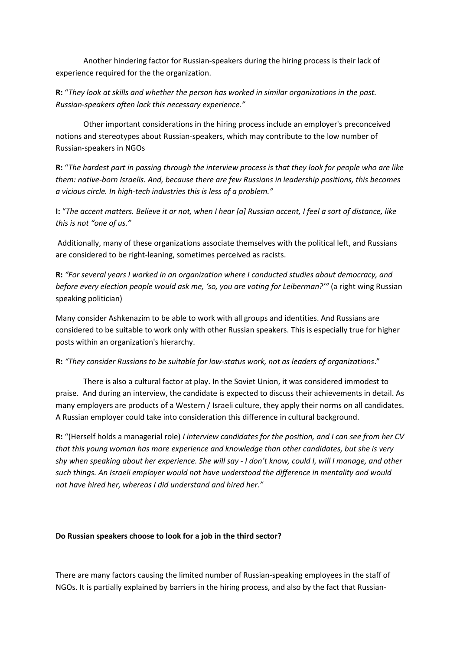Another hindering factor for Russian-speakers during the hiring process is their lack of experience required for the the organization.

**R:** "*They look at skills and whether the person has worked in similar organizations in the past. Russian-speakers often lack this necessary experience."* 

Other important considerations in the hiring process include an employer's preconceived notions and stereotypes about Russian-speakers, which may contribute to the low number of Russian-speakers in NGOs

**R:** "*The hardest part in passing through the interview process is that they look for people who are like them: native-born Israelis. And, because there are few Russians in leadership positions, this becomes a vicious circle. In high-tech industries this is less of a problem."* 

**I:** "*The accent matters. Believe it or not, when I hear [a] Russian accent, I feel a sort of distance, like this is not "one of us."*

Additionally, many of these organizations associate themselves with the political left, and Russians are considered to be right-leaning, sometimes perceived as racists.

**R:** *"For several years I worked in an organization where I conducted studies about democracy, and before every election people would ask me, 'so, you are voting for Leiberman?'"* (a right wing Russian speaking politician)

Many consider Ashkenazim to be able to work with all groups and identities. And Russians are considered to be suitable to work only with other Russian speakers. This is especially true for higher posts within an organization's hierarchy.

## **R:** *"They consider Russians to be suitable for low-status work, not as leaders of organizations*."

There is also a cultural factor at play. In the Soviet Union, it was considered immodest to praise. And during an interview, the candidate is expected to discuss their achievements in detail. As many employers are products of a Western / Israeli culture, they apply their norms on all candidates. A Russian employer could take into consideration this difference in cultural background.

**R:** "(Herself holds a managerial role) *I interview candidates for the position, and I can see from her CV that this young woman has more experience and knowledge than other candidates, but she is very shy when speaking about her experience. She will say - I don't know, could I, will I manage, and other such things. An Israeli employer would not have understood the difference in mentality and would not have hired her, whereas I did understand and hired her."* 

### **Do Russian speakers choose to look for a job in the third sector?**

There are many factors causing the limited number of Russian-speaking employees in the staff of NGOs. It is partially explained by barriers in the hiring process, and also by the fact that Russian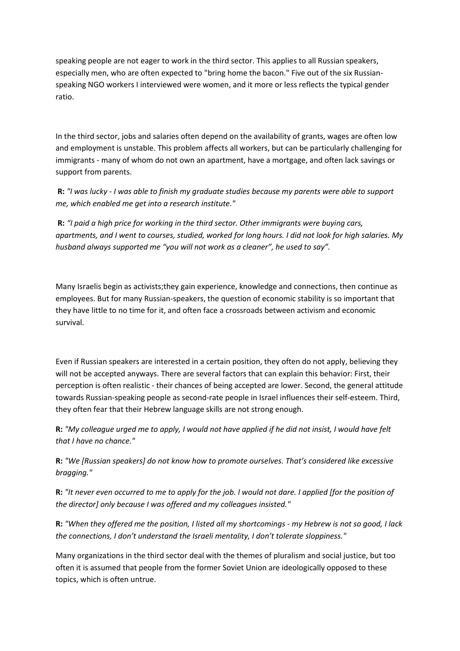speaking people are not eager to work in the third sector. This applies to all Russian speakers, especially men, who are often expected to "bring home the bacon." Five out of the six Russianspeaking NGO workers I interviewed were women, and it more or less reflects the typical gender ratio.

In the third sector, jobs and salaries often depend on the availability of grants, wages are often low and employment is unstable. This problem affects all workers, but can be particularly challenging for immigrants - many of whom do not own an apartment, have a mortgage, and often lack savings or support from parents.

**R:** *"I was lucky - I was able to finish my graduate studies because my parents were able to support me, which enabled me get into a research institute."* 

**R:** *"I paid a high price for working in the third sector. Other immigrants were buying cars, apartments, and I went to courses, studied, worked for long hours. I did not look for high salaries. My husband always supported me "you will not work as a cleaner", he used to say".*

Many Israelis begin as activists;they gain experience, knowledge and connections, then continue as employees. But for many Russian-speakers, the question of economic stability is so important that they have little to no time for it, and often face a crossroads between activism and economic survival.

Even if Russian speakers are interested in a certain position, they often do not apply, believing they will not be accepted anyways. There are several factors that can explain this behavior: First, their perception is often realistic - their chances of being accepted are lower. Second, the general attitude towards Russian-speaking people as second-rate people in Israel influences their self-esteem. Third, they often fear that their Hebrew language skills are not strong enough.

**R:** *"My colleague urged me to apply, I would not have applied if he did not insist, I would have felt that I have no chance."*

**R:** *"We [Russian speakers] do not know how to promote ourselves. That's considered like excessive bragging."*

**R:** *"It never even occurred to me to apply for the job. I would not dare. I applied [for the position of the director] only because I was offered and my colleagues insisted."*

**R:** *"When they offered me the position, I listed all my shortcomings - my Hebrew is not so good, I lack the connections, I don't understand the Israeli mentality, I don't tolerate sloppiness."*

Many organizations in the third sector deal with the themes of pluralism and social justice, but too often it is assumed that people from the former Soviet Union are ideologically opposed to these topics, which is often untrue.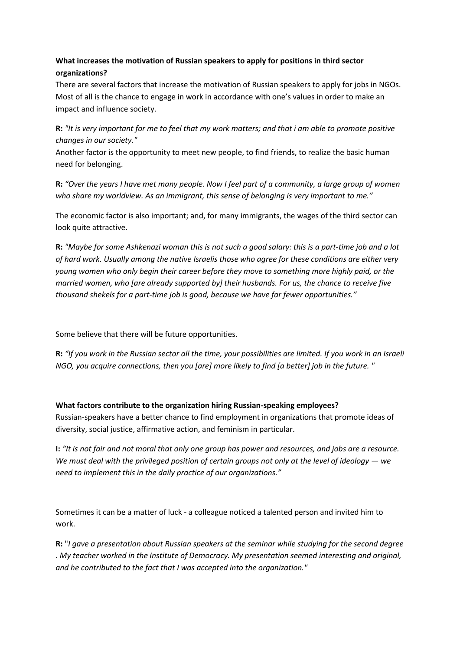## **What increases the motivation of Russian speakers to apply for positions in third sector organizations?**

There are several factors that increase the motivation of Russian speakers to apply for jobs in NGOs. Most of all is the chance to engage in work in accordance with one's values in order to make an impact and influence society.

**R:** *"It is very important for me to feel that my work matters; and that i am able to promote positive changes in our society."*

Another factor is the opportunity to meet new people, to find friends, to realize the basic human need for belonging.

**R:** *"Over the years I have met many people. Now I feel part of a community, a large group of women who share my worldview. As an immigrant, this sense of belonging is very important to me."*

The economic factor is also important; and, for many immigrants, the wages of the third sector can look quite attractive.

**R:** *"Maybe for some Ashkenazi woman this is not such a good salary: this is a part-time job and a lot of hard work. Usually among the native Israelis those who agree for these conditions are either very young women who only begin their career before they move to something more highly paid, or the married women, who [are already supported by] their husbands. For us, the chance to receive five thousand shekels for a part-time job is good, because we have far fewer opportunities."* 

Some believe that there will be future opportunities.

**R:** *"If you work in the Russian sector all the time, your possibilities are limited. If you work in an Israeli NGO, you acquire connections, then you [are] more likely to find [a better] job in the future. "*

**What factors contribute to the organization hiring Russian-speaking employees?** Russian-speakers have a better chance to find employment in organizations that promote ideas of diversity, social justice, affirmative action, and feminism in particular.

**I:** *"It is not fair and not moral that only one group has power and resources, and jobs are a resource. We must deal with the privileged position of certain groups not only at the level of ideology — we need to implement this in the daily practice of our organizations."*

Sometimes it can be a matter of luck - a colleague noticed a talented person and invited him to work.

**R:** "*I gave a presentation about Russian speakers at the seminar while studying for the second degree . My teacher worked in the Institute of Democracy. My presentation seemed interesting and original, and he contributed to the fact that I was accepted into the organization."*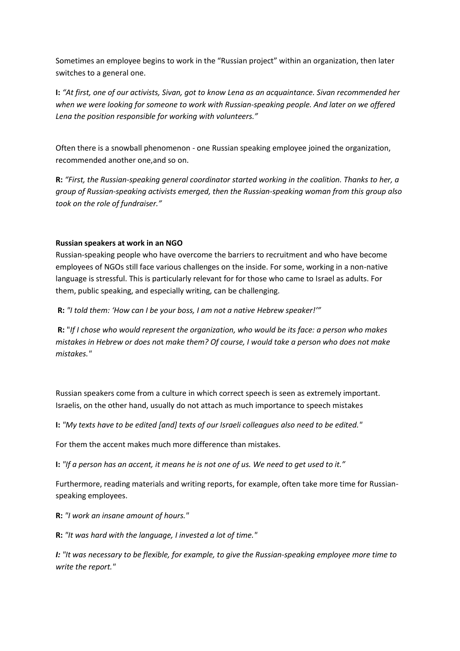Sometimes an employee begins to work in the "Russian project" within an organization, then later switches to a general one.

**I:** *"At first, one of our activists, Sivan, got to know Lena as an acquaintance. Sivan recommended her when we were looking for someone to work with Russian-speaking people. And later on we offered Lena the position responsible for working with volunteers."*

Often there is a snowball phenomenon - one Russian speaking employee joined the organization, recommended another one,and so on.

**R:** *"First, the Russian-speaking general coordinator started working in the coalition. Thanks to her, a group of Russian-speaking activists emerged, then the Russian-speaking woman from this group also took on the role of fundraiser."*

## **Russian speakers at work in an NGO**

Russian-speaking people who have overcome the barriers to recruitment and who have become employees of NGOs still face various challenges on the inside. For some, working in a non-native language is stressful. This is particularly relevant for for those who came to Israel as adults. For them, public speaking, and especially writing, can be challenging.

**R:** *"I told them: 'How can I be your boss, I am not a native Hebrew speaker!'"*

**R:** "*If I chose who would represent the organization, who would be its face: a person who makes mistakes in Hebrew or does no*t *make them? Of course, I would take a person who does not make mistakes."*

Russian speakers come from a culture in which correct speech is seen as extremely important. Israelis, on the other hand, usually do not attach as much importance to speech mistakes

**I:** *"My texts have to be edited [and] texts of our Israeli colleagues also need to be edited."* 

For them the accent makes much more difference than mistakes.

**I:** *"If a person has an accent, it means he is not one of us. We need to get used to it."* 

Furthermore, reading materials and writing reports, for example, often take more time for Russianspeaking employees.

**R:** *"I work an insane amount of hours."*

**R:** *"It was hard with the language, I invested a lot of time."* 

*I: "It was necessary to be flexible, for example, to give the Russian-speaking employee more time to write the report."*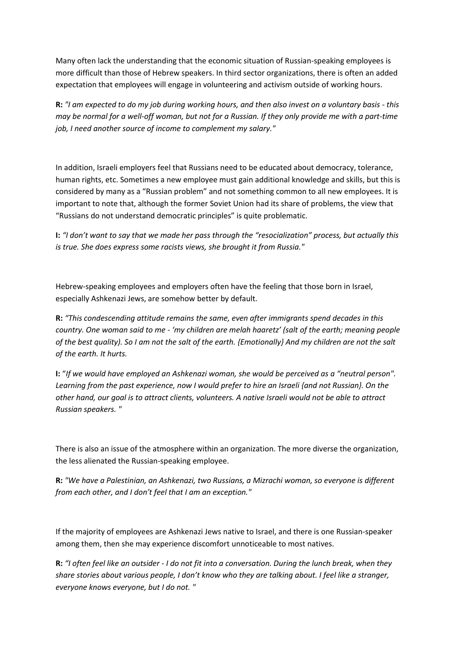Many often lack the understanding that the economic situation of Russian-speaking employees is more difficult than those of Hebrew speakers. In third sector organizations, there is often an added expectation that employees will engage in volunteering and activism outside of working hours.

**R:** *"I am expected to do my job during working hours, and then also invest on a voluntary basis - this may be normal for a well-off woman, but not for a Russian. If they only provide me with a part-time job, I need another source of income to complement my salary."*

In addition, Israeli employers feel that Russians need to be educated about democracy, tolerance, human rights, etc. Sometimes a new employee must gain additional knowledge and skills, but this is considered by many as a "Russian problem" and not something common to all new employees. It is important to note that, although the former Soviet Union had its share of problems, the view that "Russians do not understand democratic principles" is quite problematic.

**I:** *"I don't want to say that we made her pass through the "resocialization" process, but actually this is true. She does express some racists views, she brought it from Russia."*

Hebrew-speaking employees and employers often have the feeling that those born in Israel, especially Ashkenazi Jews, are somehow better by default.

**R:** *"This condescending attitude remains the same, even after immigrants spend decades in this country. One woman said to me - 'my children are melah haaretz' (salt of the earth; meaning people of the best quality). So I am not the salt of the earth. {Emotionally} And my children are not the salt of the earth. It hurts.* 

**I:** "*If we would have employed an Ashkenazi woman, she would be perceived as a "neutral person". Learning from the past experience, now I would prefer to hire an Israeli {and not Russian}. On the other hand, our goal is to attract clients, volunteers. A native Israeli would not be able to attract Russian speakers. "*

There is also an issue of the atmosphere within an organization. The more diverse the organization, the less alienated the Russian-speaking employee.

**R:** *"We have a Palestinian, an Ashkenazi, two Russians, a Mizrachi woman, so everyone is different from each other, and I don't feel that I am an exception."*

If the majority of employees are Ashkenazi Jews native to Israel, and there is one Russian-speaker among them, then she may experience discomfort unnoticeable to most natives.

**R:** *"I often feel like an outsider - I do not fit into a conversation. During the lunch break, when they share stories about various people, I don't know who they are talking about. I feel like a stranger, everyone knows everyone, but I do not. "*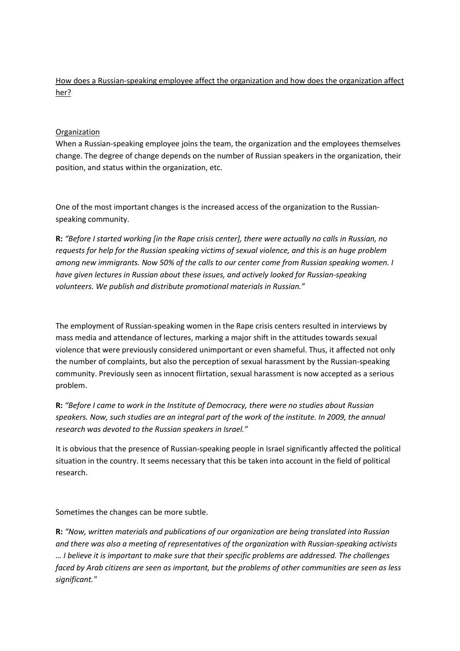How does a Russian-speaking employee affect the organization and how does the organization affect her?

## **Organization**

When a Russian-speaking employee joins the team, the organization and the employees themselves change. The degree of change depends on the number of Russian speakers in the organization, their position, and status within the organization, etc.

One of the most important changes is the increased access of the organization to the Russianspeaking community.

**R:** *"Before I started working [in the Rape crisis center], there were actually no calls in Russian, no requests for help for the Russian speaking victims of sexual violence, and this is an huge problem among new immigrants. Now 50% of the calls to our center come from Russian speaking women. I have given lectures in Russian about these issues, and actively looked for Russian-speaking volunteers. We publish and distribute promotional materials in Russian."*

The employment of Russian-speaking women in the Rape crisis centers resulted in interviews by mass media and attendance of lectures, marking a major shift in the attitudes towards sexual violence that were previously considered unimportant or even shameful. Thus, it affected not only the number of complaints, but also the perception of sexual harassment by the Russian-speaking community. Previously seen as innocent flirtation, sexual harassment is now accepted as a serious problem.

**R:** *"Before I came to work in the Institute of Democracy, there were no studies about Russian speakers. Now, such studies are an integral part of the work of the institute. In 2009, the annual research was devoted to the Russian speakers in Israel."*

It is obvious that the presence of Russian-speaking people in Israel significantly affected the political situation in the country. It seems necessary that this be taken into account in the field of political research.

Sometimes the changes can be more subtle.

**R:** *"Now, written materials and publications of our organization are being translated into Russian and there was also a meeting of representatives of the organization with Russian-speaking activists … I believe it is important to make sure that their specific problems are addressed. The challenges faced by Arab citizens are seen as important, but the problems of other communities are seen as less significant."*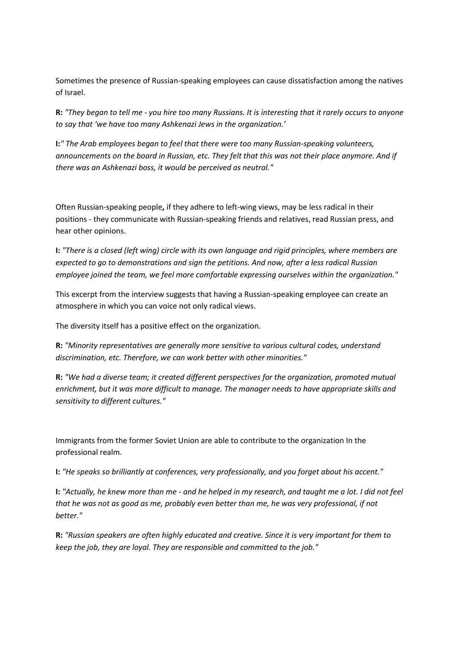Sometimes the presence of Russian-speaking employees can cause dissatisfaction among the natives of Israel.

**R:** *"They began to tell me - you hire too many Russians. It is interesting that it rarely occurs to anyone to say that 'we have too many Ashkenazi Jews in the organization.'*

**I:***" The Arab employees began to feel that there were too many Russian-speaking volunteers, announcements on the board in Russian, etc. They felt that this was not their place anymore. And if there was an Ashkenazi boss, it would be perceived as neutral."*

Often Russian-speaking people**,** if they adhere to left-wing views, may be less radical in their positions - they communicate with Russian-speaking friends and relatives, read Russian press, and hear other opinions.

**I:** *"There is a closed (left wing) circle with its own language and rigid principles, where members are expected to go to demonstrations and sign the petitions. And now, after a less radical Russian employee joined the team, we feel more comfortable expressing ourselves within the organization."*

This excerpt from the interview suggests that having a Russian-speaking employee can create an atmosphere in which you can voice not only radical views.

The diversity itself has a positive effect on the organization.

**R:** *"Minority representatives are generally more sensitive to various cultural codes, understand discrimination, etc. Therefore, we can work better with other minorities."*

**R:** *"We had a diverse team; it created different perspectives for the organization, promoted mutual enrichment, but it was more difficult to manage. The manager needs to have appropriate skills and sensitivity to different cultures."*

Immigrants from the former Soviet Union are able to contribute to the organization In the professional realm.

**I:** *"He speaks so brilliantly at conferences, very professionally, and you forget about his accent."* 

**I:** *"Actually, he knew more than me - and he helped in my research, and taught me a lot. I did not feel that he was not as good as me, probably even better than me, he was very professional, if not better."*

**R:** *"Russian speakers are often highly educated and creative. Since it is very important for them to keep the job, they are loyal. They are responsible and committed to the job."*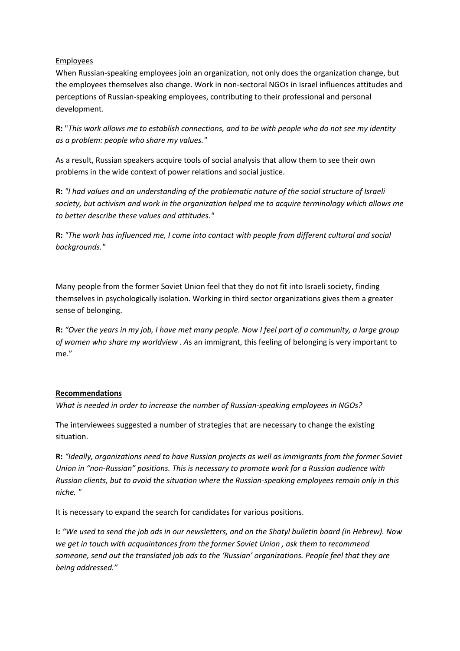## Employees

When Russian-speaking employees join an organization, not only does the organization change, but the employees themselves also change. Work in non-sectoral NGOs in Israel influences attitudes and perceptions of Russian-speaking employees, contributing to their professional and personal development.

**R:** "*This work allows me to establish connections, and to be with people who do not see my identity as a problem: people who share my values."*

As a result, Russian speakers acquire tools of social analysis that allow them to see their own problems in the wide context of power relations and social justice.

**R:** *"I had values and an understanding of the problematic nature of the social structure of Israeli society, but activism and work in the organization helped me to acquire terminology which allows me to better describe these values and attitudes."*

**R:** *"The work has influenced me, I come into contact with people from different cultural and social backgrounds."*

Many people from the former Soviet Union feel that they do not fit into Israeli society, finding themselves in psychologically isolation. Working in third sector organizations gives them a greater sense of belonging.

**R:** *"Over the years in my job, I have met many people. Now I feel part of a community, a large group of women who share my worldview . A*s an immigrant, this feeling of belonging is very important to me."

### **Recommendations**

*What is needed in order to increase the number of Russian-speaking employees in NGOs?*

The interviewees suggested a number of strategies that are necessary to change the existing situation.

**R:** *"Ideally, organizations need to have Russian projects as well as immigrants from the former Soviet Union in "non-Russian" positions. This is necessary to promote work for a Russian audience with Russian clients, but to avoid the situation where the Russian-speaking employees remain only in this niche. "*

It is necessary to expand the search for candidates for various positions.

**I:** *"We used to send the job ads in our newsletters, and on the Shatyl bulletin board (in Hebrew). Now we get in touch with acquaintances from the former Soviet Union , ask them to recommend someone, send out the translated job ads to the 'Russian' organizations. People feel that they are being addressed."*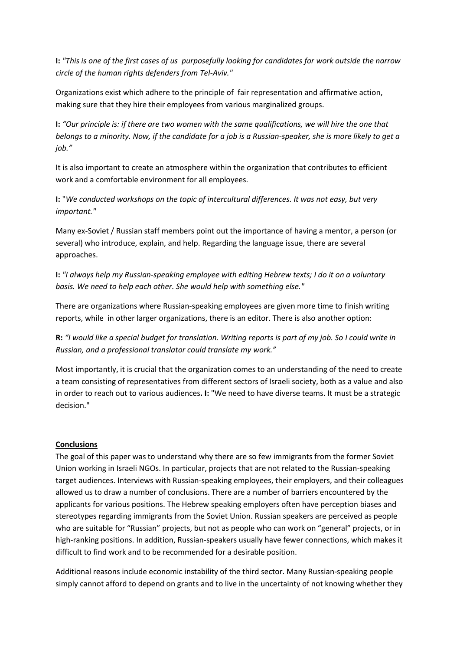**I:** *"This is one of the first cases of us purposefully looking for candidates for work outside the narrow circle of the human rights defenders from Tel-Aviv."*

Organizations exist which adhere to the principle of fair representation and affirmative action, making sure that they hire their employees from various marginalized groups.

**I:** *"Our principle is: if there are two women with the same qualifications, we will hire the one that belongs to a minority. Now, if the candidate for a job is a Russian-speaker, she is more likely to get a job."*

It is also important to create an atmosphere within the organization that contributes to efficient work and a comfortable environment for all employees.

**I:** "*We conducted workshops on the topic of intercultural differences. It was not easy, but very important."* 

Many ex-Soviet / Russian staff members point out the importance of having a mentor, a person (or several) who introduce, explain, and help. Regarding the language issue, there are several approaches.

**I:** *"I always help my Russian-speaking employee with editing Hebrew texts; I do it on a voluntary basis. We need to help each other. She would help with something else."* 

There are organizations where Russian-speaking employees are given more time to finish writing reports, while in other larger organizations, there is an editor. There is also another option:

**R:** *"I would like a special budget for translation. Writing reports is part of my job. So I could write in Russian, and a professional translator could translate my work."*

Most importantly, it is crucial that the organization comes to an understanding of the need to create a team consisting of representatives from different sectors of Israeli society, both as a value and also in order to reach out to various audiences**. I:** "We need to have diverse teams. It must be a strategic decision."

### **Conclusions**

The goal of this paper was to understand why there are so few immigrants from the former Soviet Union working in Israeli NGOs. In particular, projects that are not related to the Russian-speaking target audiences. Interviews with Russian-speaking employees, their employers, and their colleagues allowed us to draw a number of conclusions. There are a number of barriers encountered by the applicants for various positions. The Hebrew speaking employers often have perception biases and stereotypes regarding immigrants from the Soviet Union. Russian speakers are perceived as people who are suitable for "Russian" projects, but not as people who can work on "general" projects, or in high-ranking positions. In addition, Russian-speakers usually have fewer connections, which makes it difficult to find work and to be recommended for a desirable position.

Additional reasons include economic instability of the third sector. Many Russian-speaking people simply cannot afford to depend on grants and to live in the uncertainty of not knowing whether they